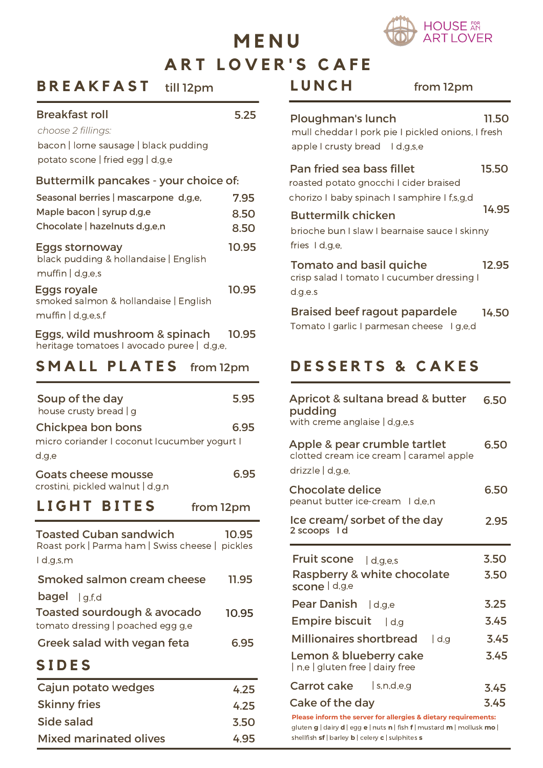

# **A R T L O V E R ' S C A F E M E N U**

#### **B R E A K F A S T** till 12pm

#### Breakfast roll 5.25

| choose 2 fillings: |
|--------------------|

bacon | lorne sausage | black pudding potato scone | fried egg | d,g,e

#### Buttermilk pancakes - your choice of:

| Seasonal berries   mascarpone d, g, e,                                      | 7.95  |
|-----------------------------------------------------------------------------|-------|
| Maple bacon   syrup d,g,e                                                   | 8.50  |
| Chocolate   hazelnuts d,g,e,n                                               | 8.50  |
| Eggs stornoway<br>black pudding & hollandaise   English<br>muffin   d.g.e.s | 10.95 |
| Eggs royale<br>smoked salmon & hollandaise   English<br>muffin   d.g.e.s.f  | 10.95 |
|                                                                             |       |

| Eggs, wild mushroom & spinach              | 10.95 |
|--------------------------------------------|-------|
| heritage tomatoes I avocado puree   d,g,e, |       |

#### **S M A L L P L A T E S** from 12pm

| Soup of the day<br>house crusty bread   g                                                        | 5.95      |
|--------------------------------------------------------------------------------------------------|-----------|
| Chickpea bon bons<br>micro coriander I coconut Icucumber yogurt I<br>d,g,e                       | 6.95      |
| <b>Goats cheese mousse</b><br>crostini, pickled walnut   d,g,n                                   | 6.95      |
| <b>LIGHT BITES</b>                                                                               | from 12pm |
| <b>Toasted Cuban sandwich</b><br>Roast pork   Parma ham   Swiss cheese   pickles<br>I d,g,s,m    | 10.95     |
| Smoked salmon cream cheese                                                                       | 11.95     |
| <b>bagel</b> $\vert$ g, f, d<br>Toasted sourdough & avocado<br>tomato dressing   poached egg g,e | 10.95     |
| Greek salad with vegan feta                                                                      | 6.95      |
| <b>SIDES</b>                                                                                     |           |
| Cajun potato wedges                                                                              | 4.25      |
| <b>Skinny fries</b>                                                                              | 4.25      |
| Side salad                                                                                       | 3.50      |
| <b>Mixed marinated olives</b>                                                                    | 4.95      |

| LUNCH                                                                                                              | from 12pm                                         |       |
|--------------------------------------------------------------------------------------------------------------------|---------------------------------------------------|-------|
| Ploughman's lunch<br>apple I crusty bread I d, g, s, e                                                             | mull cheddar I pork pie I pickled onions, I fresh | 11.50 |
| Pan fried sea bass fillet<br>roasted potato gnocchi I cider braised<br>chorizo I baby spinach I samphire I f,s,g,d |                                                   | 15.50 |
| <b>Buttermilk chicken</b><br>fries I d,g,e,                                                                        | brioche bun I slaw I bearnaise sauce I skinny     | 14.95 |
| Tomato and basil quiche<br>crisp salad I tomato I cucumber dressing I<br>d.g.e.s                                   |                                                   | 12.95 |
| <b>Braised beef ragout papardele</b><br>Tomato I garlic I parmesan cheese I g,e,d                                  |                                                   | 14.50 |

## **D E S S E R T S & C A K E S**

| Apricot & sultana bread & butter<br>pudding<br>with creme anglaise   d,g,e,s                | 6.50 |
|---------------------------------------------------------------------------------------------|------|
| Apple & pear crumble tartlet<br>clotted cream ice cream   caramel apple<br>drizzle   d,g,e, | 6.50 |
| <b>Chocolate delice</b><br>peanut butter ice-cream I d,e,n                                  | 6.50 |
| Ice cream/sorbet of the day<br>2 scoops I d                                                 | 2.95 |
| Fruit scone   d,g,e,s                                                                       | 3.50 |
| <b>Raspberry &amp; white chocolate</b><br>scone d.g.e                                       | 3.50 |
|                                                                                             |      |
| Pear Danish   d,g,e                                                                         | 3.25 |
| <b>Empire biscuit</b><br> d,q                                                               | 3.45 |
| <b>Millionaires shortbread</b><br>  d,g                                                     | 3.45 |
| Lemon & blueberry cake<br>ne   gluten free   dairy free                                     | 3.45 |
| Carrot cake<br>$ $ s,n,d,e,g                                                                | 3.45 |
| Cake of the day                                                                             | 3.45 |

shellfish **sf** | barley **b** | celery **c** | sulphites **s**